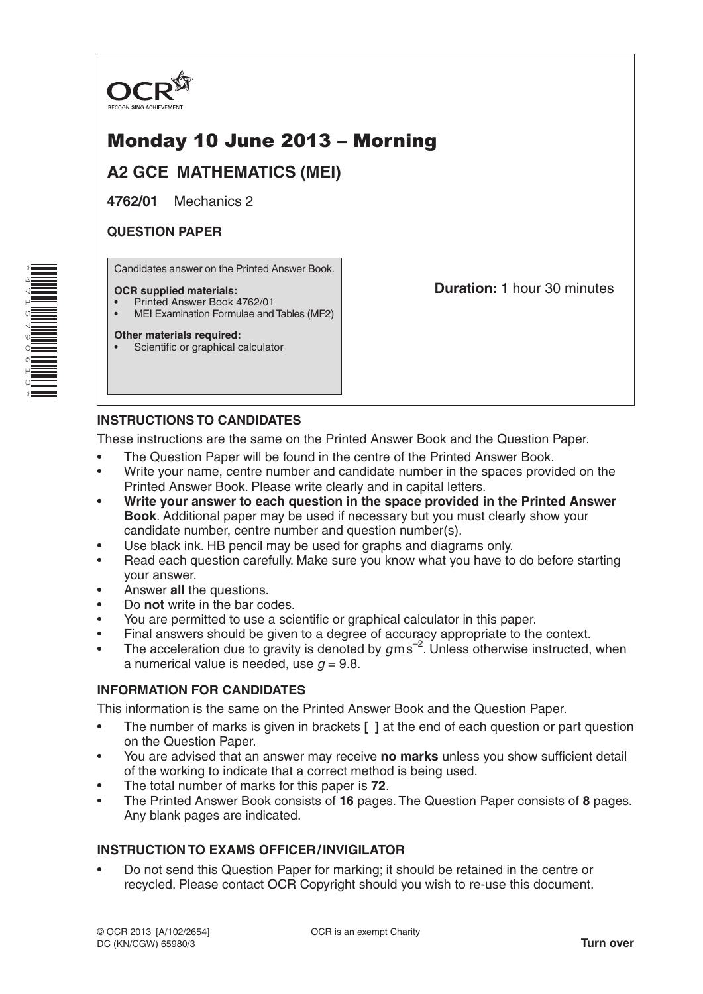

# Monday 10 June 2013 – Morning

**A2 GCE MATHEMATICS (MEI)**

**4762/01** Mechanics 2

# **QUESTION PAPER**

Candidates answer on the Printed Answer Book.

#### **OCR supplied materials:**

- Printed Answer Book 4762/01
- MEI Examination Formulae and Tables (MF2)

#### **Other materials required:**

Scientific or graphical calculator

**Duration:** 1 hour 30 minutes

## **INSTRUCTIONS TO CANDIDATES**

These instructions are the same on the Printed Answer Book and the Question Paper.

- The Question Paper will be found in the centre of the Printed Answer Book.
- Write your name, centre number and candidate number in the spaces provided on the Printed Answer Book. Please write clearly and in capital letters.
- **• Write your answer to each question in the space provided in the Printed Answer Book**. Additional paper may be used if necessary but you must clearly show your candidate number, centre number and question number(s).
- Use black ink. HB pencil may be used for graphs and diagrams only.
- Read each question carefully. Make sure you know what you have to do before starting your answer.
- Answer **all** the questions.
- Do **not** write in the bar codes.
- You are permitted to use a scientific or graphical calculator in this paper.
- Final answers should be given to a degree of accuracy appropriate to the context.
- The acceleration due to gravity is denoted by  $g$ ms<sup>-2</sup>. Unless otherwise instructed, when a numerical value is needed, use  $q = 9.8$ .

### **INFORMATION FOR CANDIDATES**

This information is the same on the Printed Answer Book and the Question Paper.

- The number of marks is given in brackets **[ ]** at the end of each question or part question on the Question Paper.
- You are advised that an answer may receive **no marks** unless you show sufficient detail of the working to indicate that a correct method is being used.
- The total number of marks for this paper is **72**.
- The Printed Answer Book consists of **16** pages. The Question Paper consists of **8** pages. Any blank pages are indicated.

### **INSTRUCTION TO EXAMS OFFICER/INVIGILATOR**

• Do not send this Question Paper for marking; it should be retained in the centre or recycled. Please contact OCR Copyright should you wish to re-use this document.

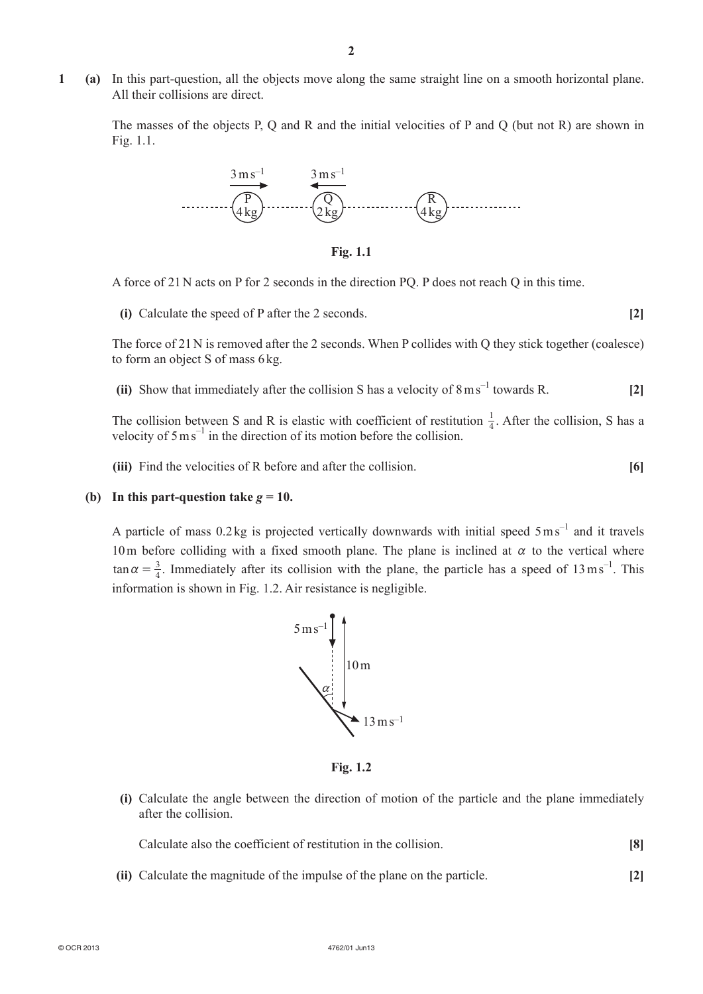**1 (a)**  In this part-question, all the objects move along the same straight line on a smooth horizontal plane. All their collisions are direct.

The masses of the objects P, Q and R and the initial velocities of P and Q (but not R) are shown in Fig. 1.1.



**Fig. 1.1**

 A force of 21N acts on P for 2 seconds in the direction PQ. P does not reach Q in this time.

**(i)** Calculate the speed of P after the 2 seconds. **[2]** 

The force of 21 N is removed after the 2 seconds. When P collides with O they stick together (coalesce) to form an object S of mass 6kg.

(ii) Show that immediately after the collision S has a velocity of  $8 \text{ ms}^{-1}$  towards R.  $[2]$ 

The collision between S and R is elastic with coefficient of restitution  $\frac{1}{4}$ . After the collision, S has a velocity of  $5 \text{ m s}^{-1}$  in the direction of its motion before the collision.

*(iii)* Find the velocities of R before and after the collision. **[6]** 

**(b)** In this part-question take  $g = 10$ .

A particle of mass  $0.2 \text{ kg}$  is projected vertically downwards with initial speed  $5 \text{ ms}^{-1}$  and it travels 10m before colliding with a fixed smooth plane. The plane is inclined at  $\alpha$  to the vertical where  $\tan \alpha = \frac{3}{4}$ . Immediately after its collision with the plane, the particle has a speed of 13 m s<sup>-1</sup>. This information is shown in Fig. 1.2. Air resistance is negligible.



**Fig. 1.2**

**(i)** Calculate the angle between the direction of motion of the particle and the plane immediately after the collision.

Calculate also the coefficient of restitution in the collision. **[8]** 

**(ii)** Calculate the magnitude of the impulse of the plane on the particle. **[2]**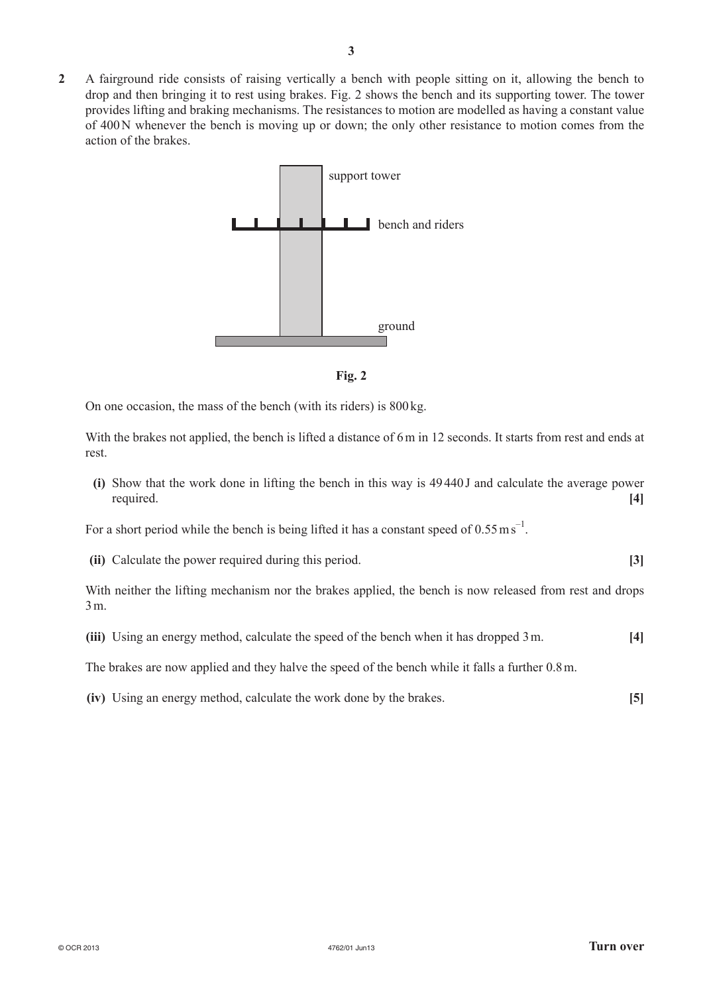**2**  A fairground ride consists of raising vertically a bench with people sitting on it, allowing the bench to drop and then bringing it to rest using brakes. Fig. 2 shows the bench and its supporting tower. The tower provides lifting and braking mechanisms. The resistances to motion are modelled as having a constant value of 400N whenever the bench is moving up or down; the only other resistance to motion comes from the action of the brakes.





On one occasion, the mass of the bench (with its riders) is 800kg.

With the brakes not applied, the bench is lifted a distance of 6m in 12 seconds. It starts from rest and ends at rest.

**(i)** Show that the work done in lifting the bench in this way is 49 440J and calculate the average power required. **[4]**

For a short period while the bench is being lifted it has a constant speed of  $0.55 \text{ m s}^{-1}$ .

**(ii)** Calculate the power required during this period. **[3]** 

With neither the lifting mechanism nor the brakes applied, the bench is now released from rest and drops 3m.

**(iii)** Using an energy method, calculate the speed of the bench when it has dropped 3 m.

The brakes are now applied and they halve the speed of the bench while it falls a further 0.8m.

**(iv)** Using an energy method, calculate the work done by the brakes. **[5]**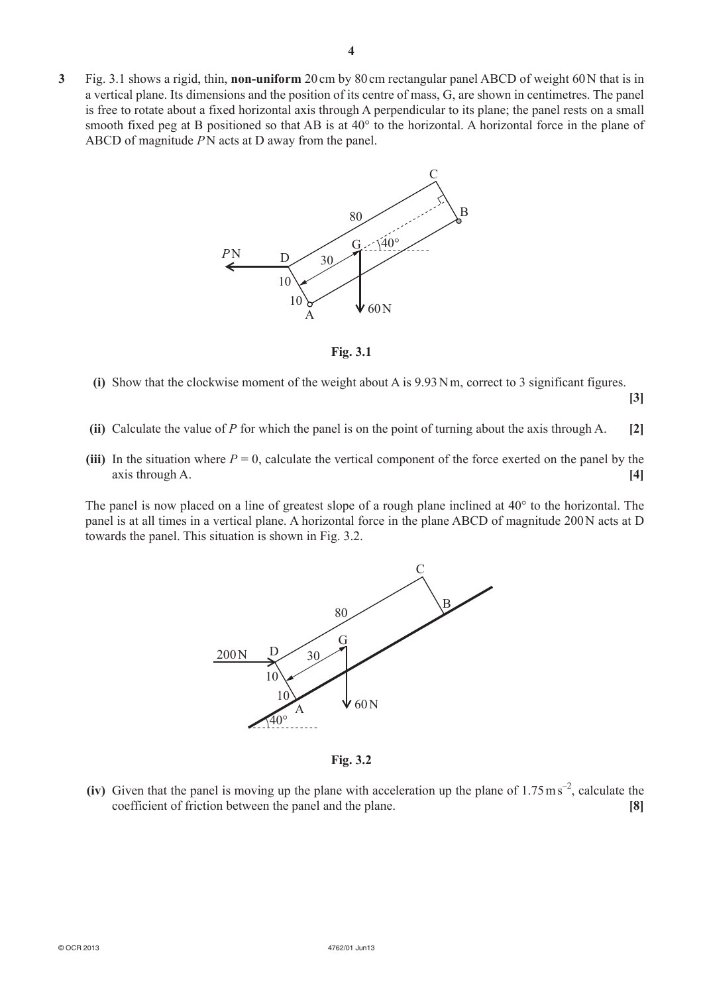**3**  Fig. 3.1 shows a rigid, thin, **non-uniform** 20 cm by 80 cm rectangular panel ABCD of weight 60N that is in a vertical plane. Its dimensions and the position of its centre of mass, G, are shown in centimetres. The panel is free to rotate about a fixed horizontal axis through A perpendicular to its plane; the panel rests on a small smooth fixed peg at B positioned so that AB is at 40° to the horizontal. A horizontal force in the plane of ABCD of magnitude *P*N acts at D away from the panel.



**Fig. 3.1**

**(i)** Show that the clockwise moment of the weight about A is 9.93 Nm, correct to 3 significant figures.

**[3]**

- **(ii)** Calculate the value of *P* for which the panel is on the point of turning about the axis through A. **[2]**
- **(iii)** In the situation where  $P = 0$ , calculate the vertical component of the force exerted on the panel by the axis through A. **[4]**

The panel is now placed on a line of greatest slope of a rough plane inclined at 40° to the horizontal. The panel is at all times in a vertical plane. A horizontal force in the plane ABCD of magnitude 200N acts at D towards the panel. This situation is shown in Fig. 3.2.



**Fig. 3.2**

(iv) Given that the panel is moving up the plane with acceleration up the plane of  $1.75 \text{ m s}^{-2}$ , calculate the coefficient of friction between the panel and the plane. **[8]**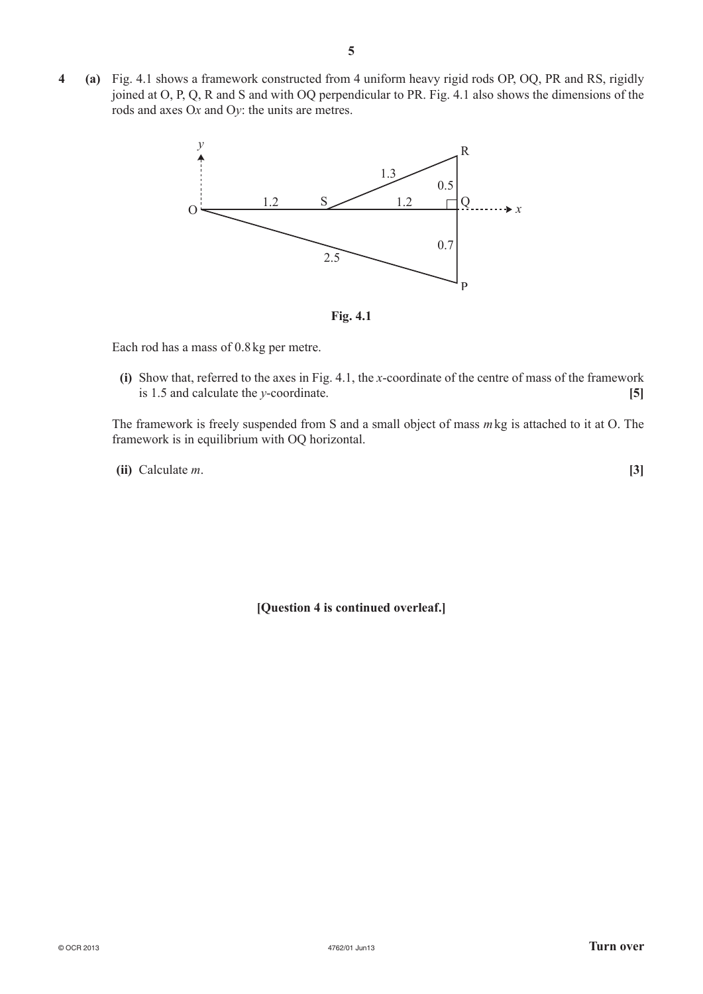**4 (a)**  Fig. 4.1 shows a framework constructed from 4 uniform heavy rigid rods OP, OQ, PR and RS, rigidly joined at O, P, Q, R and S and with OQ perpendicular to PR. Fig. 4.1 also shows the dimensions of the rods and axes O*x* and O*y*: the units are metres.



**Fig. 4.1**

Each rod has a mass of 0.8 kg per metre.

**(i)** Show that, referred to the axes in Fig. 4.1, the *x*-coordinate of the centre of mass of the framework is 1.5 and calculate the *y*-coordinate. **[5]**

The framework is freely suspended from S and a small object of mass  $m \text{ kg}$  is attached to it at O. The framework is in equilibrium with OQ horizontal.

 $\textbf{(ii)}$  Calculate *m*.  $\textbf{[3]}$ 

**[Question 4 is continued overleaf.]**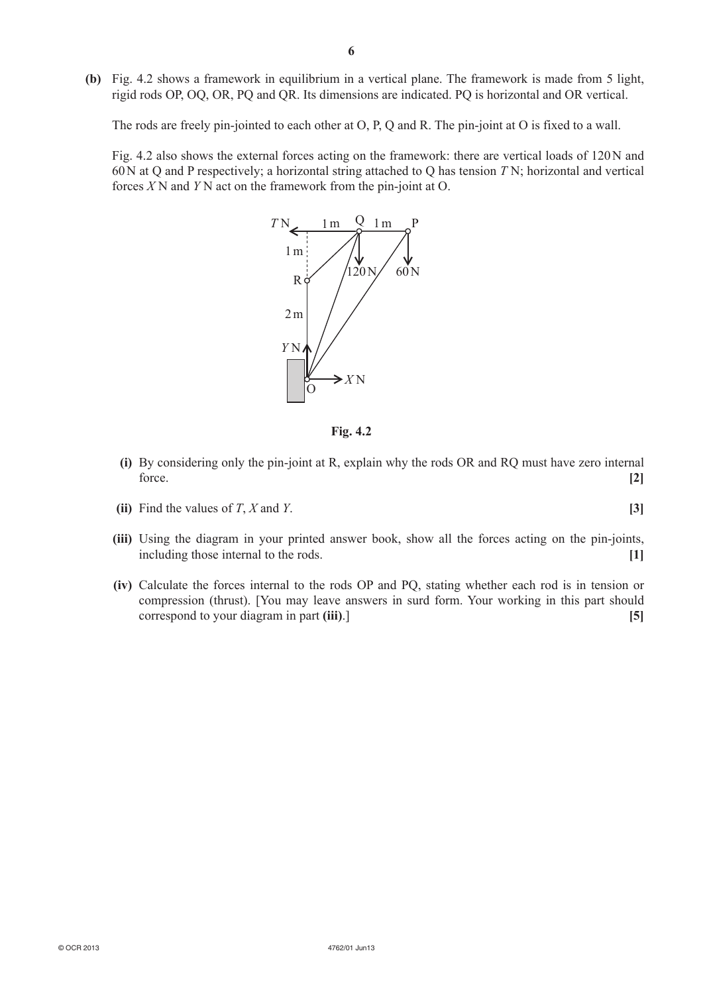**(b)**  Fig. 4.2 shows a framework in equilibrium in a vertical plane. The framework is made from 5 light, rigid rods OP, OQ, OR, PQ and QR. Its dimensions are indicated. PQ is horizontal and OR vertical.

The rods are freely pin-jointed to each other at O, P, O and R. The pin-joint at O is fixed to a wall.

Fig. 4.2 also shows the external forces acting on the framework: there are vertical loads of 120N and 60N at Q and P respectively; a horizontal string attached to Q has tension *T* N; horizontal and vertical forces *X* N and *Y* N act on the framework from the pin-joint at O.



**Fig. 4.2**

- **(i)** By considering only the pin-joint at R, explain why the rods OR and RQ must have zero internal force. **[2]**
- $\left[ \textbf{ii} \right)$  Find the values of *T*, *X* and *Y*.  $\left[ \textbf{3} \right]$
- **(iii)** Using the diagram in your printed answer book, show all the forces acting on the pin-joints, including those internal to the rods. **[1]**
- **(iv)** Calculate the forces internal to the rods OP and PQ, stating whether each rod is in tension or compression (thrust). [You may leave answers in surd form. Your working in this part should correspond to your diagram in part **(iii)**.] **[5]**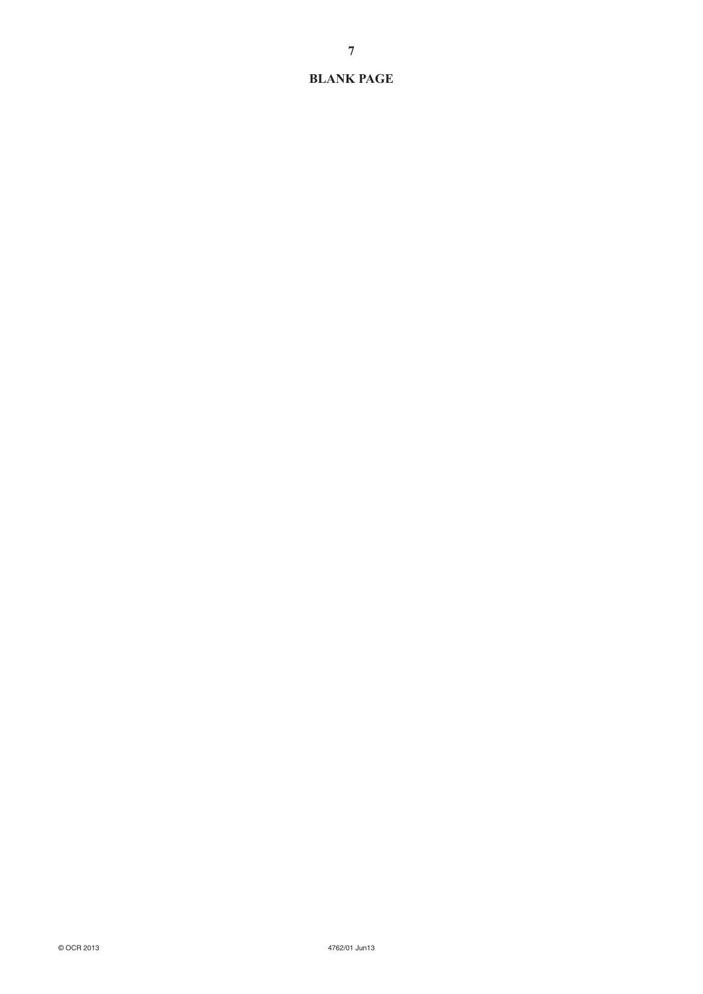#### **BLANK PAGE**